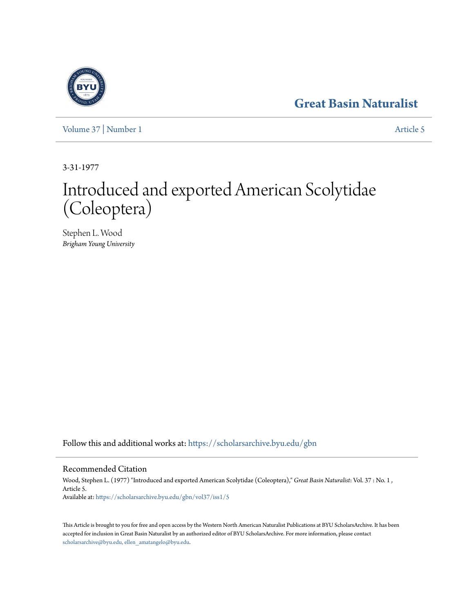# **[Great Basin Naturalist](https://scholarsarchive.byu.edu/gbn?utm_source=scholarsarchive.byu.edu%2Fgbn%2Fvol37%2Fiss1%2F5&utm_medium=PDF&utm_campaign=PDFCoverPages)**



[Volume 37](https://scholarsarchive.byu.edu/gbn/vol37?utm_source=scholarsarchive.byu.edu%2Fgbn%2Fvol37%2Fiss1%2F5&utm_medium=PDF&utm_campaign=PDFCoverPages) | [Number 1](https://scholarsarchive.byu.edu/gbn/vol37/iss1?utm_source=scholarsarchive.byu.edu%2Fgbn%2Fvol37%2Fiss1%2F5&utm_medium=PDF&utm_campaign=PDFCoverPages) [Article 5](https://scholarsarchive.byu.edu/gbn/vol37/iss1/5?utm_source=scholarsarchive.byu.edu%2Fgbn%2Fvol37%2Fiss1%2F5&utm_medium=PDF&utm_campaign=PDFCoverPages)

3-31-1977

# Introduced and exported American Scolytidae (Coleoptera)

Stephen L. Wood *Brigham Young University*

Follow this and additional works at: [https://scholarsarchive.byu.edu/gbn](https://scholarsarchive.byu.edu/gbn?utm_source=scholarsarchive.byu.edu%2Fgbn%2Fvol37%2Fiss1%2F5&utm_medium=PDF&utm_campaign=PDFCoverPages)

## Recommended Citation

Wood, Stephen L. (1977) "Introduced and exported American Scolytidae (Coleoptera)," *Great Basin Naturalist*: Vol. 37 : No. 1 , Article 5. Available at: [https://scholarsarchive.byu.edu/gbn/vol37/iss1/5](https://scholarsarchive.byu.edu/gbn/vol37/iss1/5?utm_source=scholarsarchive.byu.edu%2Fgbn%2Fvol37%2Fiss1%2F5&utm_medium=PDF&utm_campaign=PDFCoverPages)

This Article is brought to you for free and open access by the Western North American Naturalist Publications at BYU ScholarsArchive. It has been accepted for inclusion in Great Basin Naturalist by an authorized editor of BYU ScholarsArchive. For more information, please contact [scholarsarchive@byu.edu, ellen\\_amatangelo@byu.edu.](mailto:scholarsarchive@byu.edu,%20ellen_amatangelo@byu.edu)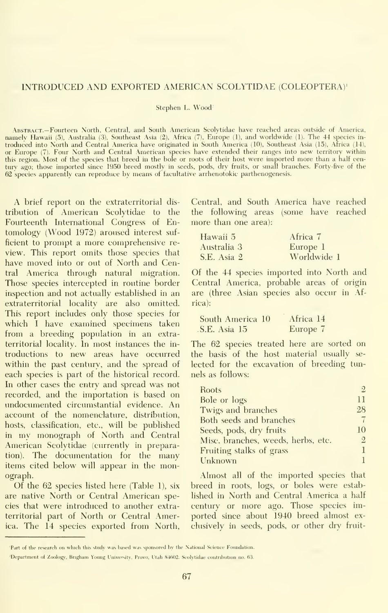#### INTRODUCED AND EXPORTED AMERICAN SCOLYTIDAE (COLEOPTERA)'

Stephen L. Wood-

Abstract.—Fourteen North, Central, and South American Scolytidae have reached areas outside of America, namely Hawaii (5), Australia (3), Southeast Asia (2), Africa (7), Europe (1), and worldwide (1). The 44 species in-<br>troduced into North and Central America have originated in South America (10), Southeast Asia (15), Africa or Europe (7). Four North and Central American species have extended their ranges into new territory within<br>this region. Most of the species that breed in the bole or roots of their host were imported more than a half cen<br> 62 species apparently can reproduce by means of facultative arrhenotokic parthenogenesis.

A brief report on the extraterritorial dis tribution of American Scolytidae to the Fourteenth International Congress of En tomology (Wood 1972) aroused interest suf ficient to prompt a more comprehensive re view. This report omits those species that have moved into or out of North and Central America through natural migration. Those species intercepted in routine border inspection and not actually established in an extraterritorial locality are also omitted. This report includes only those species for which <sup>I</sup> have examined specimens taken from a breeding population in an extraterritorial locality. In most instances the in troductions to new areas have occurred within the past century, and the spread of each species is part of the historical record. In other cases the entry and spread was not recorded, and the importation is based on undocumented circumstantial evidence. An account of the nomenclature, distribution, hosts, classification, etc., will be published in my monograph of North and Central American Scolvtidae (currently in preparation). The documentation for the many items cited below will appear in the monograph.

Of the 62 species listed here (Table 1), six are native North or Central American species that were introduced to another extraterritorial part of North or Central America. The 14 species exported from North, Central, and South America have reached the following areas (some have reached more than one area):

| Hawaii 5    | Africa 7    |
|-------------|-------------|
| Australia 3 | Europe 1    |
| S.E. Asia 2 | Worldwide 1 |

Of the 44 species imported into North and Central America, probable areas of origin are (three Asian species also occur in Africa):

| South America 10 | Africa 14 |
|------------------|-----------|
| S.E. Asia 15     | Europe 7  |

The 62 species treated here are sorted on the basis of the host material usually se lected for the excavation of breeding tunnels as follows:

| Roots                              | 2              |
|------------------------------------|----------------|
| Bole or logs                       | 11             |
| Twigs and branches                 | 28             |
| Both seeds and branches            | 7              |
| Seeds, pods, dry fruits            | 10             |
| Misc. branches, weeds, herbs, etc. | $\overline{2}$ |
| Fruiting stalks of grass           |                |
| Unknown                            |                |

Almost all of the imported species that breed in roots, logs, or boles were established in North and Central America a half century or more ago. Those species im ported since about 1940 breed almost ex clusively in seeds, pods, or other dry fruit-

<sup>&#</sup>x27;Part of the research on which this study was based was sponsored by the National Science Foundation.

<sup>&</sup>lt;sup>-</sup>Department of Zoology, Brigham Young University, Provo, Utah 84602. Seolytidae contribution no. 63.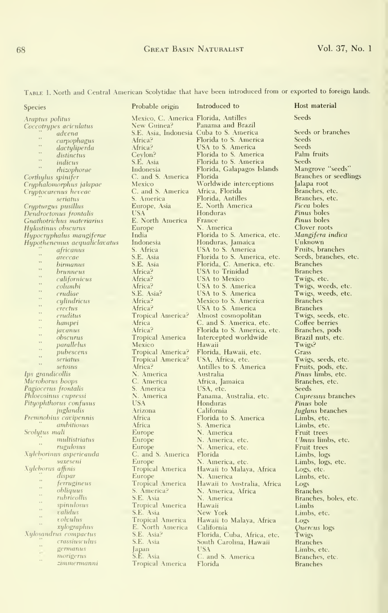### 68 Great Basin Naturalist Vol. 37, No. <sup>1</sup>

| TABLE 1. North and Central American Scolytidae that have been introduced from or exported to foreign lands. |                                      |                                                |                                          |  |
|-------------------------------------------------------------------------------------------------------------|--------------------------------------|------------------------------------------------|------------------------------------------|--|
| <b>Species</b>                                                                                              | Probable origin                      | Introduced to                                  | Host material                            |  |
| Araptus politus                                                                                             | Mexico, C. America Florida, Antilles |                                                | Seeds                                    |  |
| Coccotrypes aciculatus                                                                                      | New Guinea?                          | Panama and Brazil                              |                                          |  |
| advena<br>$\bar{\tau}$                                                                                      |                                      | S.E. Asia, Indonesia Cuba to S. America        | Seeds or branches                        |  |
| carpophagus<br>,                                                                                            | Africa?                              | Florida to S. America                          | Seeds                                    |  |
| dactyliperda<br>$\ddot{\phantom{a}}$                                                                        | Africa?                              | USA to S. America                              | Seeds<br>Palm fruits                     |  |
| distinctus<br>$\bar{\tau}$                                                                                  | Cevlon?<br>S.E. Asia                 | Florida to S. America<br>Florida to S. America | Seeds                                    |  |
| indicus<br>$\rightarrow$                                                                                    | Indonesia                            | Florida, Galapagos Islands                     | Mangrove "seeds"                         |  |
| rhizophorae<br>Corthylus spinifer                                                                           | C. and S. America                    | Florida                                        | Branches or seedlings                    |  |
| Cryphalomorphus jalapae                                                                                     | Mexico                               | Worldwide interceptions                        | Jalapa root                              |  |
| Cryptocarenus heveae                                                                                        | C. and S. America                    | Africa, Florida                                | Branches, etc.                           |  |
| seriatus                                                                                                    | S. America                           | Florida, Antilles                              | Branches, etc.                           |  |
| Crypturgus pusillus                                                                                         | Europe, Asia                         | E. North America                               | <i>Picea</i> boles                       |  |
| Dendroctonus frontalis                                                                                      | <b>USA</b>                           | <b>Honduras</b>                                | Pinus boles                              |  |
| Gnathotrichus materiarius                                                                                   | E. North America                     | France                                         | Pinus boles                              |  |
| Hylastinus obscurus                                                                                         | Europe                               | N. America                                     | Clover roots                             |  |
| Hypocryphalus mangiferae                                                                                    | India                                | Florida to S. America, etc.                    | Mangifera indica                         |  |
| Hypothenemus aequaliclavatus                                                                                | Indonesia                            | Honduras, Jamaica                              | Unknown                                  |  |
| africanus<br>$\ddot{\phantom{a}}$                                                                           | S. Africa                            | USA to S. America                              | Fruits, branches                         |  |
| areccae<br>.,                                                                                               | S.E. Asia                            | Florida to S. America, etc.                    | Seeds, branches, etc.<br><b>Branches</b> |  |
| birmanus<br>$\rightarrow$                                                                                   | S.E. Asia                            | Florida, C. America, etc.<br>USA to Trinidad   | <b>Branches</b>                          |  |
| brunneus<br>$\ddot{\phantom{1}}$<br>californicus                                                            | Africa?<br>Africa?                   | USA to Mexico                                  | Twigs, etc.                              |  |
| $\rightarrow$<br>columbi                                                                                    | Africa?                              | USA to S. America                              | Twigs, weeds, etc.                       |  |
| $\rightarrow$ $\,$<br>crudiae                                                                               | S.E. Asia?                           | USA to S. America                              | Twigs, weeds, etc.                       |  |
| $\ddot{\phantom{1}}$<br>cylindricus                                                                         | Africa?                              | Mexico to S. America                           | <b>Branches</b>                          |  |
| , ,<br>erectus                                                                                              | Africa?                              | USA to S. America                              | <b>Branches</b>                          |  |
| $\overline{\phantom{a}}$<br>eruditus                                                                        | Tropical America?                    | Almost cosmopolitan                            | Twigs, seeds, etc.                       |  |
| $\cdots$<br>hampei                                                                                          | Africa                               | C. and S. America, etc.                        | Coffee berries                           |  |
| $\ddot{\phantom{a}}$<br>javanus                                                                             | Africa?                              | Florida to S. America, etc.                    | Branches, pods                           |  |
| $\ddot{\phantom{1}}$<br>obscurus                                                                            | Tropical America                     | Intercepted worldwide                          | Brazil nuts, etc.                        |  |
| $\rightarrow$ 5<br>parallelus<br>$\ddot{\phantom{a}}$                                                       | Mexico                               | Hawaii                                         | Twigs?                                   |  |
| pubescens<br>$\rightarrow$                                                                                  | Tropical America?                    | Florida, Hawaii, etc.                          | Grass                                    |  |
| seriatus<br>$\sim$                                                                                          | Tropical America?                    | USA, Africa, etc.                              | Twigs, seeds, etc.                       |  |
| setosus                                                                                                     | Africa?                              | Antilles to S. America                         | Fruits, pods, etc.                       |  |
| Ips grandicollis                                                                                            | N. America                           | Australia                                      | Pinus limbs, etc.                        |  |
| Microborus boops                                                                                            | C. America                           | Africa, Jamaica                                | Branches, etc.                           |  |
| Pagiocerus frontalis<br>Phloeosinus cupressi                                                                | S. America<br>N. America             | USA, etc.<br>Panama, Australia, etc.           | Seeds<br>Cupressus branches              |  |
| Pityophthorus confusus                                                                                      | <b>USA</b>                           | Honduras                                       | Pinus bole                               |  |
| juglandis                                                                                                   | Arizona                              | California                                     | Juglans branches                         |  |
| Premnobius cavipennis                                                                                       | Africa                               | Florida to S. America                          | Limbs, etc.                              |  |
| ambitiosus                                                                                                  | Africa                               | S. America                                     | Limbs, etc.                              |  |
| Scolytus mali                                                                                               | Europe                               | N. America                                     | Fruit trees                              |  |
| multistriatus                                                                                               | Europe                               | N. America, etc.                               | Ulmus limbs, etc.                        |  |
| rugulosus                                                                                                   | Europe                               | N. America, etc.                               | Fruit trees                              |  |
| Xyleborinus aspericauda                                                                                     | C. and S. America                    | Florida                                        | Limbs, logs                              |  |
| saxeseni                                                                                                    | Europe                               | N. America, etc.                               | Limbs, logs, etc.                        |  |
| Xyleborus affinis                                                                                           | Tropical America                     | Hawaii to Malava, Africa                       | Logs, etc.                               |  |
| dispar<br>$\ddot{\phantom{1}}$                                                                              | Europe                               | N. America                                     | Limbs, etc.                              |  |
| ferrugineus<br>$\cdots$                                                                                     | Tropical America                     | Hawaii to Australia, Africa                    | Logs                                     |  |
| obliquus<br>$\ddot{\phantom{a}}$<br>rubricollis                                                             | S. America?<br>S.E. Asia             | N. America, Africa                             | <b>Branches</b>                          |  |
| $\ddot{\phantom{a}}$<br>spinulosus                                                                          | Tropical America                     | N. America<br>Hawaii                           | Branches, boles, etc.                    |  |
| $\mathbf{r}$<br>validus                                                                                     | S.E. Asia                            | New York                                       | Limbs<br>Limbs, etc.                     |  |
| $\overline{\phantom{a}}$<br>volvulus                                                                        | Tropical America                     | Hawaii to Malaya, Africa                       | Logs                                     |  |
| $\bar{\phantom{a}}$<br>xylographus                                                                          | E. North America                     | California                                     | Quercus logs                             |  |
| Xylosandrus compactus                                                                                       | S.E. Asia?                           | Florida, Cuba, Africa, etc.                    | Twigs                                    |  |
| crassiusculus                                                                                               | S.E. Asia                            | South Carolina, Hawaii                         | <b>Branches</b>                          |  |
| $\ddot{\phantom{a}}$<br>germanus                                                                            | apan                                 | USA                                            | Limbs, etc.                              |  |
| $\epsilon$<br>morigerus<br>÷.                                                                               | S.E. Asia                            | C. and S. America                              | Branches, etc.                           |  |
| zimmermanni                                                                                                 | Tropical America                     | Florida                                        | <b>Branches</b>                          |  |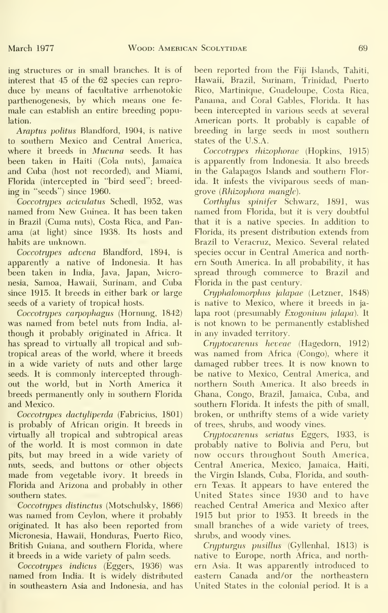ing structures or in small branches. It is of interest that 45 of the 62 species can repro duce bv means of facultative arrhenotokic parthenogenesis, by which means one fe male can establish an entire breeding population.

Araptus politus Blandford, 1904, is native to southern Mexico and Central America, where it breeds in *Mucuna* seeds. It has been taken in Haiti (Cola nuts), Jamaica and Cuba (host not recorded), and Miami, Florida (intercepted in "bird seed"; breeding in "seeds") since 1960.

Coccotnjpes aciculatus Schedl, 1952, was named from New Guinea. It has been taken in Brazil (Cuma nuts), Costa Rica, and Pan ama (at light) since 1938. Its hosts and habits are unknown.

Coccotnjpes advena Blandford, 1894, is apparently a native of Indonesia. It has been taken in India, Java, Japan, Micronesia, Samoa, Hawaii, Surinam, and Cuba since 1915. It breeds in either bark or large seeds of a variety of tropical hosts.

Coccotnjpes carpophagus (Hornung, 1842) was named from betel nuts from India, al though it probably originated in Africa. It has spread to virtually all tropical and subtropical areas of the world, where it breeds in a wide variety of nuts and other large seeds. It is commonly intercepted throughout the world, but in North America it breeds permanently only in southern Florida and Mexico.

Coccotrupes dactuliperda (Fabricius, 1801) is probably of African origin. It breeds in virtually all tropical and subtropical areas of the world. It is most common in date pits, but may breed in a wide variety of nuts, seeds, and buttons or other objects made from vegetable ivory. It breeds in Florida and Arizona and probably in other southern states.

Coccotnjpes distinctus (Motschulsky, 1866) was named from Ceylon, where it probably originated. It has also been reported from Micronesia, Hawaii, Honduras, Puerto Rico, British Guiana, and southern Florida, where it breeds in a wide variety of palm seeds.

Coccotrypes indicus (Eggers, 1936) was named from India. It is widely distributed in southeastern Asia and Indonesia, and has been reported from the Fiji Islands, Tahiti, Hawaii, Brazil, Surinam, Trinidad, Puerto Rico, Martinique, Guadeloupe, Costa Rica, Panama, and Coral Gables, Florida. It has been intercepted in various seeds at several American ports. It probably is capable of breeding in large seeds in most southern states of the U.S.A.

Coccotnjpes rhizophorae (Hopkins, 1915) is apparently from Indonesia. It also breeds in the Galapagos Islands and southern Florida. It infests the viviparous seeds of mangrove (Rhizophora mangle).

Corthylus spinifer Schwarz, 1891, was named from Florida, but it is very doubtful that it is a native species. In addition to Florida, its present distribution extends from Brazil to Veracruz, Mexico. Several related species occur in Central America and north ern South America. In all probability, it has spread through commerce to Brazil and Florida in the past century.

Cryphalomorphus jalapae (Letzner, 1848) is native to Mexico, where it breeds in ja lapa root (presumably Exogonium jalapa). It is not known to be permanently established in any invaded territory.

Cryptocarenus heveae (Hagedorn, 1912) was named from Africa (Congo), where it damaged rubber trees. It is now known to be native to Mexico, Central America, and northern South America. It also breeds in Ghana, Congo, Brazil, Jamaica, Cuba, and southern Florida. It infests the pith of small, broken, or unthrifty stems of a wide variety of trees, shrubs, and woody vines.

Cryptocarenus seriatus Eggers, 1933, is probably native to Bolivia and Peru, but now occurs throughout South America, Central America, Mexico, Jamaica, Haiti, the Virgin Islands, Cuba, Florida, and south ern Texas. It appears to have entered the United States since 1930 and to have reached Central America and Mexico after 1915 but prior to 1953. It breeds in the small branches of a wide variety of trees, shrubs, and woody vines.

Crypturgus pusillus (Gyllenhal, 1813) is native to Europe, north Africa, and north ern Asia. It was apparently introduced to eastern Canada and/or the northeastern United States in the colonial period. It is a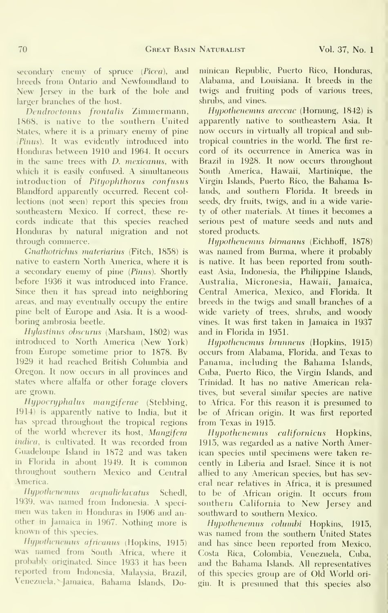secondary enemy of spruce (Picea), and breeds from Ontario and Newfoundland to New Jersey in the bark of the bole and larger branches of the host.

Dendroctonus frontalis Zimmermann, 1868, is native to the southern United States, where it is a primary enemy of pine {Pinus). It was evidently introduced into Honduras between 1910 and 1964. It occurs in the same trees with D. mexicanus, with which it is easily confused. A simultaneous introduction of Pityophthorus confusus Blandford apparently occurred. Recent col lections (not seen) report this species from southeastern Mexico. If correct, these re cords indicate that this species reached Honduras by natural migration and not through commerce.

Gnathotrichus materiarius (Fitch, 1858) is native to eastern North America, where it is a secondary enemy of pine (Pinus). Shortly before 1936 it was introduced into France. Since then it has spread into neighboring areas, and may eventually occupy the entire pine belt of Europe and Asia. It is a woodboring ambrosia beetle.

Hylastinus obscurus (Marsham, 1802) was introduced to North America (New York) from Europe sometime prior to 1878. By 1929 it had reached British Columbia and Oregon. It now occurs in all provinces and states where alfalfa or other forage clovers are grown.

Ihjpocrijphalus mangiferae (Stebbing, 1914) is apparently native to India, but ithas spread throughout the tropical regions of the world wherever its host, Mangifera indica, is cultivated. It was recorded from Guadeloupe Island in 1872 and was taken in Florida in about 1949. It is common throughout southern Mexico and Central .\merica.

Hypothenemus aequaliclavatus Schedl, 19.39, was named from Indonesia. A speci men was taken in Honduras in 1906 and an other in Jamaica in 1967. Nothing more is known of this species.

Hypothenemus africanus (Hopkins, 1915) was named from South Africa, where it probably originated. Since 1933 it has been reported from Indonesia, Malaysia, Brazil, Venezuela,^ Jamaica, Bahama Islands, Dominican Republic, Puerto Rico, Honduras, Alabama, and Louisiana. It breeds in the twigs and fruiting pods of various trees, shrubs, and vines.

Hypothenemus areccae (Hornung, 1842) is apparently native to southeastern Asia. It now occurs in virtually all tropical and subtropical countries in the world. The first re cord of its occurrence in America was in Brazil in 1928. It now occurs throughout South America, Hawaii, Martinique, the Virgin Islands, Puerto Rico, the Bahama Is lands, and southern Florida. It breeds in seeds, dry fruits, twigs, and in a wide variety of other materials. At times it becomes a serious pest of mature seeds and nuts and stored products.

Hypothenemus hinnanus (Eichhoff, 1878) was named from Burma, where it probably is native. It has been reported from southeast Asia, Indonesia, the Philippine Islands, Australia, Micronesia, Hawaii, Jamaica, Central America, Mexico, and Florida. It breeds in the twigs and small branches of a wide variety of trees, shrubs, and woody vines. It was first taken in Jamaica in 1937 and in Florida in 1951.

Hypothenemus brunneus (Hopkins, 1915) occurs from Alabama, Florida, and Texas to Panama, including the Bahama Islands, Cuba, Puerto Rico, the Virgin Islands, and Trinidad. It has no native American relatives, but several similar species are native to Africa. For this reason it is presumed to be of African origin. It was first reported from Texas in 1915.

Hypothenemus californicus Hopkins, 1915, was regarded as a native North American species until specimens were taken re cently in Liberia and Israel. Since it is not allied to any American species, but has several near relatives in Africa, it is presumed to be of African origin. It occurs from southern California to New Jersey and southward to southern Mexico.

Hypothenemus eohimbi Hopkins, 1915, was named from the southern United States and has since been reported from Mexico, Costa Rica, Colombia, Venezuela, Cuba, and the Bahama Islands. All representatives of this species group are of Old World ori gin. It is presumed that this species also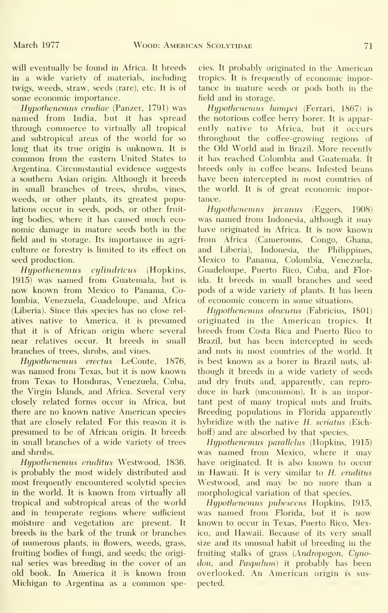will eventually be found in Africa. It breeds in a wide variety of materials, including twigs, weeds, straw, seeds (rare), etc. It is of some economic importance.

Hypothenemus crudiae (Panzer, 1791) was named from India, but it has spread through commerce to virtually all tropical and subtropical areas of the world for so long that its true origin is unknown. It is common from the eastern United States to Argentina. Circumstantial evidence suggests a southern Asian origin. Although it breeds in small branches of trees, shrubs, vines, weeds, or other plants, its greatest populations occur in seeds, pods, or other fruit ing bodies, where it has caused much eco nomic damage in mature seeds both in the field and in storage. Its importance in agri culture or forestry is limited to its effect on seed production.

Hypothenemus cylindricus (Hopkins, 1915) was named from Guatemala, but is now known from Mexico to Panama, Colombia, Venezuela, Guadeloupe, and Africa (Liberia). Since this species has no close rel atives native to America, it is presumed that it is of African origin where several near relatives occur. It breeds in small branches of trees, shrubs, and vines.

Hypothenemus erectus LeConte, 1876, was named from Texas, but it is now known from Texas to Honduras, Venezuela, Cuba, the Virgin Islands, and Africa. Several very closely related forms occur in Africa, but there are no known native American species that are closely related For this reason it is presumed to be of African origin. It breeds in small branches of a wide variety of trees and shrubs.

Hypothenemus eruditus Westwood, 1836, is probably the most widely distributed and most frequently encountered scolytid species in the world. It is known from virtually all tropical and subtropical areas of the world and in temperate regions where sufficient moisture and vegetation are present. It breeds in the bark of the trunk or branches of numerous plants, in flowers, weeds, grass, fruiting bodies of fungi, and seeds; the origi nal series was breeding in the cover of an old book. In America it is known from Michigan to Argentina as <sup>a</sup> common species. It probably originated in the American tropics. It is frequently of economic importance in mature seeds or pods both in the field and in storage.

Hypothenemus hampei (Ferrari, 1867) is the notorious coffee berry borer. It is apparently native to Africa, but it occurs throughout the coffee-growing regions of the Old World and in Brazil. More recently it has reached Colombia and Guatemala. It breeds only in coffee beans. Infested beans have been intercepted in most countries of the world. It is of great economic importance.

Hypothenemus javanus (Eggers, 1908) was named from Indonesia, although it may have originated in Africa. It is now known from Africa (Camerouns, Congo, Ghana, and Liberia), Indonesia, the Philippines, Mexico to Panama, Colombia, Venezuela, Guadeloupe, Puerto Rico, Cuba, and Florida. It breeds in small branches and seed pods of a wide variety of plants. It has been of economic concern in some situations.

Hypothenemus obscurus (Fabricius, 1801) originated in the American tropics. It breeds from Costa Rica and Puerto Rico to Brazil, but has been intercepted in seeds and nuts in most countries of the world. It is best known as a borer in Brazil nuts, al though it breeds in a wide variety of seeds and dry fruits and, apparently, can repro duce in bark (uncommon). It is an important pest of many tropical nuts and fruits. Breeding populations in Florida apparently hybridize with the native H. seriatus (Eichhoff) and are absorbed by that species.

Hypothenemus parallelus (Hopkins, 1915) was named from Mexico, where it may have originated. It is also known to occur in Hawaii. It is very similar to H. eruditus Westwood, and may be no more than a morphological variation of that species.

Hypothenemus pubescens Hopkins, 1915, was named from Florida, but it is now known to occur in Texas, Puerto Rico, Mexico, and Hawaii. Because of its very small size and its unusual habit of breeding in the fruiting stalks of grass {Andropogon, Cyno don, and Paspalum) it probably has been overlooked. An American origin is sus pected.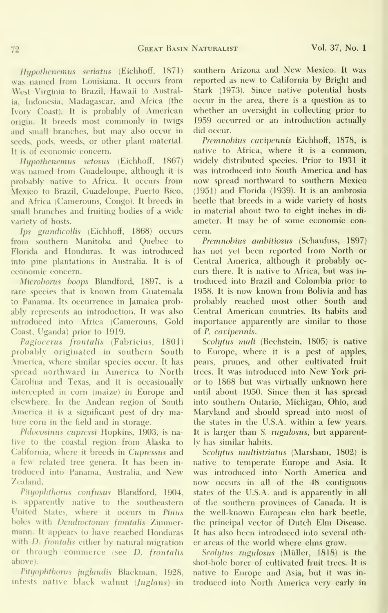Hypothenemus seriatus (Eichhoff, 1871) was named from Louisiana. It occurs from West Virginia to Brazil, Hawaii to Australia, Indonesia, Madagascar, and Africa (the Ivorv Coast). It is probably of American origin. It breeds most commonly in twigs and small branches, but may also occur in seeds, pods, weeds, or other plant material. It is of economic concern.

Hupothenemus setosus (Eichhoff, 1867) was named from Guadeloupe, although it is probably native to Africa. It occurs from Mexico to Brazil, Guadeloupe, Puerto Rico, and Africa (Camerouns, Congo). It breeds in small branches and fruiting bodies of a wide varietv of hosts.

Ips grandicollis (Eichhoff, 1868) occurs from southern Manitoba and Quebec to Florida and Honduras. It was introduced into pine plantations in Australia. It is of economic concern.

Microhorus hoops Blandford, 1897, is a rare species that is known from Guatemala to Panama. Its occurrence in Jamaica probably represents an introduction. It was also introduced into Africa (Camerouns, Gold Coast, Uganda) prior to 1919.

Pagiocerus frontalis (Fabricius, 1801) probably originated in southern South America, where similar species occur. It has spread northward in America to North Carolina and Texas, and it is occasionally intercepted in corn (maize) in Europe and elsewhere. In the Andean region of South America it is a significant pest of dry mature corn in the field and in storage.

Phloeosinus cupressi Hopkins, 1903, is native to the coastal region from Alaska to California, where it breeds in Cupressus and a few related tree genera. It has been in troduced into Panama, Australia, and New Zealand.

Pityophthorus confusus Blandford, 1904, is apparently native to the southeastern United States, where it occurs in Pinus holes with Dendroctonus frontalis Zimmermann. It appears to have reached Honduras with *D. frontalis* either by natural migration or through commerce (see D. frontalis above).

Pityophthorus juglandis Blackman, 1928, infests native black walnut  $(Juglans)$  in southern Arizona and New Mexico. It was reported as new to California by Bright and Stark (1973). Since native potential hosts occur in the area, there is a question as to whether an oversight in collecting prior to 1959 occurred or an introduction actually did occur.

Premnohius cavipennis Eichhoff, 1878, is native to Africa, where it is a common, widely distributed species. Prior to 1931 itwas introduced into South America and has now spread northward to southern Mexico (1951) and Florida (1939). It is an ambrosia beetle that breeds in a wide variety of hosts in material about two to eight inches in di ameter. It may be of some economic concern.

Premnohius amhitiosus (Schaufuss, 1897) has not yet been reported from North or Central America, although it probably oc curs there. It is native to Africa, but was in troduced into Brazil and Colombia prior to 1958. It is now known from Bolivia and has probably reached most other South and Central American countries. Its habits and importance apparently are similar to those of P. cavipennis.

Scolytus mali (Bechstein, 1805) is native to Europe, where it is a pest of apples, pears, prunes, and other cultivated fruit trees. It was introduced into New York pri or to 1868 but was virtually unknown here until about 1950. Since then it has spread into southern Ontario, Michigan, Ohio, and Maryland and should spread into most of the states in the U.S.A. within a few years. It is larger than S. rugulosus, but apparently has similar habits.

Scolytus multistriatus (Marsham, 1802) is native to temperate Europe and Asia. It was introduced into North America and now occurs in all of the 48 contiguous states of the U.S.A. and is apparently in all of the southern provinces of Canada. It is the well-known European elm bark beetle, the principal vector of Dutch Elm Disease. It has also been introduced into several other areas of the world where elms grow.

Scolytus rugulosus (Müller, 1818) is the shot-hole borer of cultivated fruit trees. It is native to Europe and Asia, but it was in troduced into North America very earlv in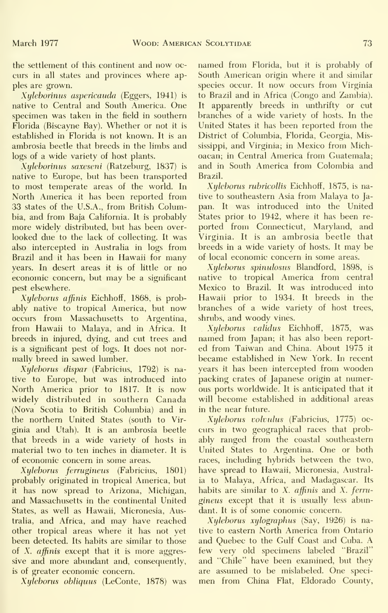the settlement of this continent and now oc curs in all states and provinces where apples are grown.

Xyleborinus aspericauda (Eggers, 1941) is native to Central and South America. One specimen was taken in the field in southern Florida (Biscayne Bay). Whether or not it is established in Florida is not known. It is an ambrosia beetle that breeds in the limbs and logs of a wide variety of host plants.

Xylehorinus saxeseni (Ratzeburg, 1837) is native to Europe, but has been transported to most temperate areas of the world. In North America it has been reported from 33 states of the U.S.A., from British Columbia, and from Baja California. It is probably more widely distributed, but has been over looked due to the lack of collecting. It was also intercepted in Australia in logs from Brazil and it has been in Hawaii for many years. In desert areas it is of little or no economic concern, but may be a significant pest elsewhere.

Xyleborus affinis Eichhoff, 1868, is probably native to tropical America, but now occurs from Massachusetts to Argentina, from Hawaii to Malaya, and in Africa. It breeds in injured, dying, and cut trees and is a significant pest of logs. It does not nor mally breed in sawed lumber.

Xyleborus dispar (Fabricius, 1792) is native to Europe, but was introduced into North America prior to 1817. It is now widely distributed in southern Canada (Nova Scotia to British Columbia) and in the northern United States (south to Virginia and Utah). It is an ambrosia beetle that breeds in a wide variety of hosts in material two to ten inches in diameter. It is of economic concern in some areas.

Xyleborus ferrugineus (Fabricius, 1801) probably originated in tropical America, but it has now spread to Arizona, Michigan, and Massachusetts in the continental United States, as well as Hawaii, Micronesia, Australia, and Africa, and may have reached other tropical areas where it has not yet been detected. Its habits are similar to those of  $X$ , *affinis* except that it is more aggressive and more abundant and, consequently, is of greater economic concern.

Xyleborus obliquus (LeConte, 1878) was

named from Florida, but it is probably of South American origin where it and similar species occur. It now occurs from Virginia to Brazil and in Africa (Congo and Zambia). It apparently breeds in unthrifty or cut branches of a wide variety of hosts. In the United States it has been reported from the District of Columbia, Florida, Georgia, Mississippi, and Virginia; in Mexico from Michoacan; in Central America from Guatemala; and in South America from Colombia and Brazil.

Xyleborus rubricollis Eichhoff, 1875, is native to southeastern Asia from Malaya to Ja pan. It was introduced into the United States prior to 1942, where it has been re ported from Connecticut, Maryland, and Virginia. It is an ambrosia beetle that breeds in a wide variety of hosts. It may be of local economic concern in some areas.

Xyleborus spinulosus Blandford, 1898, is native to tropical America from central Mexico to Brazil. It was introduced into Hawaii prior to 1934. It breeds in the branches of a wide variety of host trees, shrubs, and woody vines.

Xyleborus validus Eichhoff, 1875, was named from Japan; it has also been report ed from Taiwan and China. About 1975 it became established in New York. In recent years it has been intercepted from wooden packing crates of Japanese origin at numerous ports worldwide. It is anticipated that it will become established in additional areas in the near future.

Xyleborus volvulus (Fabricius, 1775) oc curs in two geographical races that probably ranged from the coastal southeastern United States to Argentina. One or both races, including hybrids between the two, have spread to Hawaii, Micronesia, Australia to Malaya, Africa, and Madagascar. Its habits are similar to X. affinis and X. ferrugineus except that it is usually less abundant. It is of some conomic concern.

Xyleborus xylographus (Say, 1926) is native to eastern North America from Ontario and Quebec to the Gulf Coast and Cuba. A few very old specimens labeled "Brazil" and "Chile" have been examined, but they are assumed to be mislabeled. One speci men from China Flat, Eldorado County,